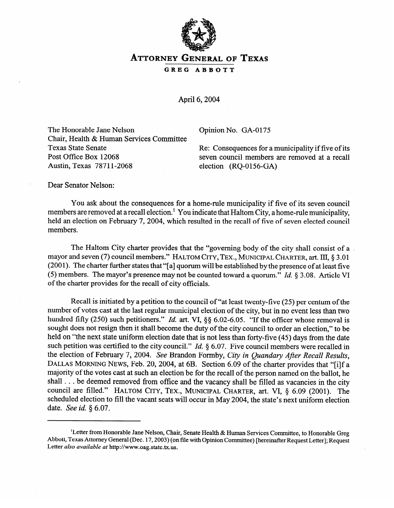

**ATTORNEY GENERAL OF TEXAS** 

**GREG ABBOTT** 

April 6,2004

The Honorable Jane Nelson Opinion No. GA-0175 Chair, Health & Human Services Committee

Texas State Senate<br>
Re: Consequences for a municipality if five of its<br>
Post Office Box 12068<br>
Reven council members are removed at a recall Post Office Box 12068 seven council members are removed at a recall<br>Austin, Texas 78711-2068 election (RO-0156-GA)  $election (RQ-0156-GA)$ 

Dear Senator Nelson:

You ask about the consequences for a home-rule municipality if five of its seven council<br>members are removed at a recall election.<sup>1</sup> You indicate that Haltom City, a home-rule municipality,  $\frac{m}{\sqrt{2}}$  removed at a recording  $\frac{m}{\sqrt{2}}$  . You indicate that Haltom City, a home-rule municipality held an election on February 7, 2004, which resulted in the recall of five of seven elected council members.

The Haltom City charter provides that the "governing body of the city shall consist of a<br>mayor and seven (7) council members." HALTOM CITY, TEX., MUNICIPAL CHARTER, art. III, § 3.01 (2001). The charter further states that "[a] quorum will be established by the presence of at least five (5) members. The mayor's presence may not be counted toward a quorum." Id.  $\S 3.08$ . Article VI of the charter provides for the recall of city officials.  $\mathbf{t}$  the charter provides for the recall of city of city of city of city of city of city of city of city of city of city of city of city of city of city of city of city of city of city of city of city of city of city

Recall is initiated by a petition to the council of "at least twenty-five (25) per centum of the number of votes cast at the last regular municipal election of the city, but in no event less than two hundred fifty (250) such petitioners." *Id.* art. VI,  $\delta \delta$  6.02-6.05. "If the officer whose removal is sought does not resign then it shall become the duty of the city council to order an election." to be held on "the next state uniform election date that is not less than forty-five (45) days from the date such petition was certified to the city council." *Id.*  $\S$  6.07. Five council members were recalled in the election of February 7, 2004. See Brandon Formby, City in Quandary After Recall Results, DALLAS MORNING NEWS, Feb. 20, 2004, at 6B. Section 6.09 of the charter provides that "[i]f a majority of the votes cast at such an election be for the recall of the person named on the ballot, he shall . . . be deemed removed from office and the vacancy shall be filled as vacancies in the city council are filled." HALTOM CITY, TEX., MUNICIPAL CHARTER, art. VI, § 6.09 (2001). The scheduled election to fill the vacant seats will occur in May 2004, the state's next uniform election date. See id. § 6.07.

Letter from Honorable Jane Nelson, Chair, Senate Health & Human Services Committee, to Honorable Greg Abbott, Texas Attorney General (Dec. 17, 2003) (on file with Opinion Committee) [hereinafter Request Letter]; Request Letter also available at http://www.oag.state.tx.us.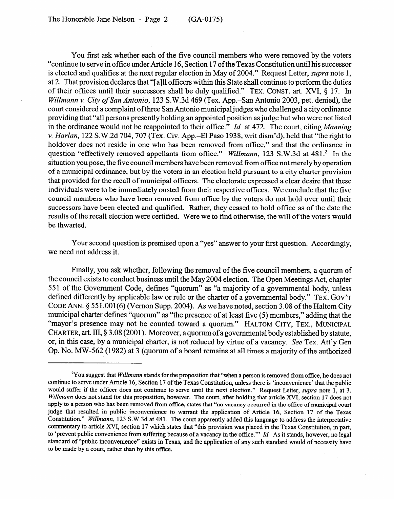You first ask whether each of the five council members who were removed by the voters "continue to serve in office under Article 16, Section 17 of the Texas Constitution until his successor is elected and qualifies at the next regular election in May of 2004." Request Letter, *supra* note 1, at 2. That provision declares that "[a]11 officers within this State shall continue to perform the duties of their offices until their successors shall be duly qualified." TEX. CONST. art. XVI, § 17. In *Willmann v. City of San Antonio,* 123 S.W.3d 469 (Tex. App.-San Antonio 2003, pet. denied), the court considered a complaint of three San Antonio municipal judges who challenged a city ordinance providing that "all persons presently holding an appointed position as judge but who were not listed in the ordinance would not be reappointed to their office." *Id.* at 472. The court, citing *Manning v. Harlan,* 122 S.W.2d 704,707 (Tex. Civ. App.-El Paso 1938, writ dism'd), held that "the right to holdover does not reside in one who has been removed from office," and that the ordinance in question "effectively removed appellants from office." Willmann, 123 S.W.3d at 481.<sup>2</sup> In the situation you pose, the five council members have been removed from office not merely by operation of a municipal ordinance, but by the voters in an election held pursuant to a city charter provision that provided for the recall of municipal officers. The electorate expressed a clear desire that these individuals were to be immediately ousted from their respective offices. We conclude that the five council members who have been removed from office by the voters do not hold over until their successors have been elected and qualified. Rather, they ceased to hold office as of the date the successors have been elected and qualified. Rather, they ceased to hold office as of the date the results of the recall election were certified. Were we to find otherwise, the will of the voters would be thwarted.

Your second question is premised upon a "yes" answer to your first question. Accordingly, we need not address it.

Finally, you ask whether, following the removal of the five council members, a quorum of the council exists to conduct business until the May 2004 election. The Open Meetings Act, chapter 551 of the Government Code, defines "quorum" as "a majority of a governmental body, unless defined differently by applicable law or rule or the charter of a governmental body." TEX. GOV'T CODE ANN. § 551.001(6) (Vernon Supp. 2004). As we have noted, section 3.08 of the Haltom City. municipal charter defines "quorum" as "the presence of at least five (5) members," adding that the "mayor's presence may not be counted toward a quorum." HALTOM CITY, TEX., MUNICIPAL CHARTER, art. III, § 3.08 (2001). Moreover, a quorum of a governmental body established by statute. or, in this case, by a municipal charter, is not reduced by virtue of a vacancy. See Tex. Att'y Gen Op. No. MW-562 (1982) at 3 (quorum of a board remains at all times a majority of the authorized Op. No. MW-562 (1982) at 3 (quorum of a board remains at all times a majority of the authorized

<sup>&</sup>lt;sup>2</sup>You suggest that *Willmann* stands for the proposition that "when a person is removed from office, he does not continue to serve under Article 16, Section 17 of the Texas Constitution, unless there is 'inconvenience' that the public would suffer if the officer does not continue to serve until the next election." Request Letter, supra note 1, at 3. Willmann does not stand for this proposition, however. The court, after holding that article XVI, section 17 does not apply to a person who has been removed from office, states that "no vacancy occurred in the office of municipal court judge that resulted in public inconvenience to warrant the application of Article 16, Section 17 of the Texas Constitution." Willmann, 123 S.W.3d at 481. The court apparently added this language to address the interpretative commentary to article XVI, section 17 which states that "this provision was placed in the Texas Constitution, in part, to 'prevent public convenience from suffering because of a vacancy in the office." Id. As it stands, however, no legal standard of "public inconvenience" exists in Texas, and the application of any such standard would of necessity have to be made by a court, rather than by this office.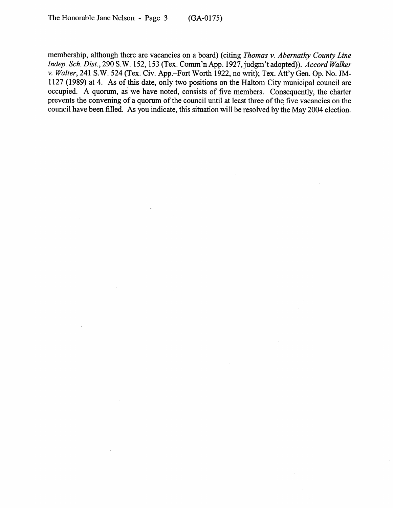membership, although there are vacancies on a board) (citing *Thomas v. Abernathy County Line Indep. Sch. Dist., 290* S.W. 152,153 (Tex. Comm'n App. 1927, judgm't adopted)). *Accord Walker v. Walter,* 241 S.W. 524 (Tex. Civ. App.-Fort Worth 1922, no writ); Tex. Att'y Gen. Op. No. JM-1127 (1989) at 4. As of this date, only two positions on the Haltom City municipal council are occupied. A quorum, as we have noted, consists of five members. Consequently, the charter prevents the convening of a quorum of the council until at least three of the five vacancies on the council have been filled. As you indicate, this situation will be resolved by the May 2004 election.